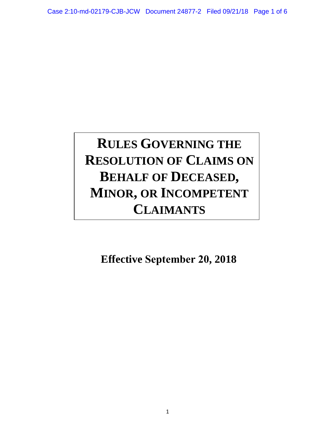# **R RULES GOVERNING THE RESOLUTION OF CLAIMS ON BEHALF OF DECEASED, MINOR, OR INCOMPETENT CLAIMANTS**

**Effective September 20, 2018**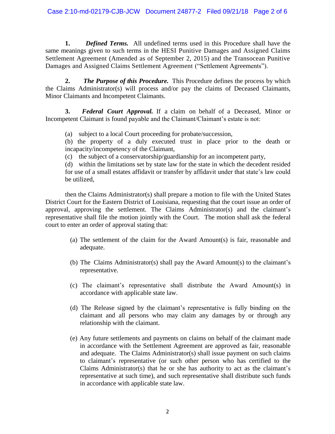**1.** *Defined Terms.* All undefined terms used in this Procedure shall have the same meanings given to such terms in the HESI Punitive Damages and Assigned Claims Settlement Agreement (Amended as of September 2, 2015) and the Transocean Punitive Damages and Assigned Claims Settlement Agreement ("Settlement Agreements").

**2.** *The Purpose of this Procedure.* This Procedure defines the process by which the Claims Administrator(s) will process and/or pay the claims of Deceased Claimants, Minor Claimants and Incompetent Claimants.

**3.** *Federal Court Approval.* If a claim on behalf of a Deceased, Minor or Incompetent Claimant is found payable and the Claimant/Claimant's estate is not:

(a) subject to a local Court proceeding for probate/succession,

(b) the property of a duly executed trust in place prior to the death or incapacity/incompetency of the Claimant,

(c) the subject of a conservatorship/guardianship for an incompetent party,

(d) within the limitations set by state law for the state in which the decedent resided for use of a small estates affidavit or transfer by affidavit under that state's law could be utilized,

then the Claims Administrator(s) shall prepare a motion to file with the United States District Court for the Eastern District of Louisiana, requesting that the court issue an order of approval, approving the settlement. The Claims Administrator(s) and the claimant's representative shall file the motion jointly with the Court. The motion shall ask the federal court to enter an order of approval stating that:

- (a) The settlement of the claim for the Award Amount(s) is fair, reasonable and adequate.
- (b) The Claims Administrator(s) shall pay the Award Amount(s) to the claimant's representative.
- (c) The claimant's representative shall distribute the Award Amount(s) in accordance with applicable state law.
- (d) The Release signed by the claimant's representative is fully binding on the claimant and all persons who may claim any damages by or through any relationship with the claimant.
- (e) Any future settlements and payments on claims on behalf of the claimant made in accordance with the Settlement Agreement are approved as fair, reasonable and adequate. The Claims Administrator(s) shall issue payment on such claims to claimant's representative (or such other person who has certified to the Claims Administrator(s) that he or she has authority to act as the claimant's representative at such time), and such representative shall distribute such funds in accordance with applicable state law.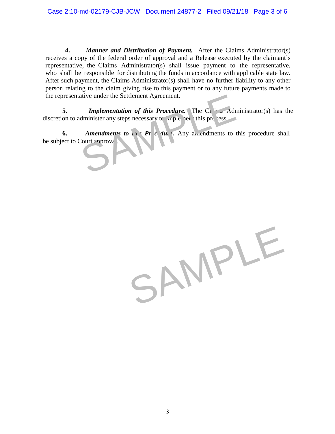**4.** *Manner and Distribution of Payment.* After the Claims Administrator(s) receives a copy of the federal order of approval and a Release executed by the claimant's representative, the Claims Administrator(s) shall issue payment to the representative, who shall be responsible for distributing the funds in accordance with applicable state law. After such payment, the Claims Administrator(s) shall have no further liability to any other person relating to the claim giving rise to this payment or to any future payments made to the representative under the Settlement Agreement.

**5.** *Implementation of this Procedure.* The Claims Administrator(s) has the discretion to administer any steps necessary to implement this process.

**6.** *Amendments to*  $\mathbf{r} \cdot \mathbf{p} \cdot \mathbf{r}$  *c.*  $\mathbf{u} \cdot \mathbf{v}$ . Any amendments to this procedure shall be subject to Court approval. Implementation of this Procedure. The Claims Adm<br>dminister any steps necessary to implement this process<br>Amendments to be Pr c. tu. . Any amendments to the<br>Court mprovi

SAMPLE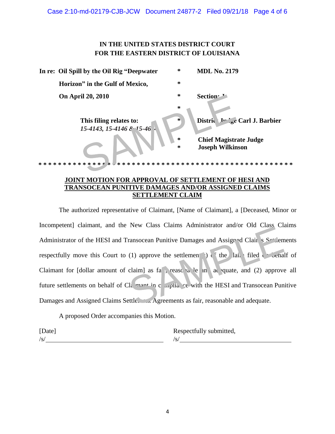## **IN THE UNITED STATES DISTRICT COURT FOR THE EASTERN DISTRICT OF LOUISIANA**

| In re: Oil Spill by the Oil Rig "Deepwater" | ∗      | <b>MDL No. 2179</b>                                             |
|---------------------------------------------|--------|-----------------------------------------------------------------|
| Horizon" in the Gulf of Mexico,             | ∗      |                                                                 |
| <b>On April 20, 2010</b>                    | ∗      | Section <sup>2</sup>                                            |
|                                             | ∗      |                                                                 |
| This filing relates to:                     | $\ast$ | District J <sub>r</sub> $\angle$ <sub>5</sub> e Carl J. Barbier |
| 15-4143, 15-4146 & 15-46.                   |        |                                                                 |
|                                             | $\ast$ | <b>Chief Magistrate Judge</b>                                   |
|                                             | ∗      | <b>Joseph Wilkinson</b>                                         |
| '≭k<br>$\ast$<br>$**$<br>$* :$<br>∗         | $\ast$ | **************                                                  |

#### **JOINT MOTION FOR APPROVAL OF SETTLEMENT OF HESI AND TRANSOCEAN PUNITIVE DAMAGES AND/OR ASSIGNED CLAIMS SETTLEMENT CLAIM**

The authorized representative of Claimant, [Name of Claimant], a [Deceased, Minor or Incompetent] claimant, and the New Class Claims Administrator and/or Old Class Claims Administrator of the HESI and Transocean Punitive Damages and Assigned Clairs Settlements respectfully move this Court to (1) approve the settlement (s) of the claim filed one behalf of Claimant for  $\lceil$  dollar amount of claim $\lceil$  as fa<sub>ir</sub>, reasonable and adequate, and (2) approve all future settlements on behalf of  $Cl<sub>k</sub>$  mant in compliance with the HESI and Transocean Punitive Damages and Assigned Claims Settle. Agreements as fair, reasonable and adequate. Transocean Punitive Damages and Assigred Clair Section<br>
(1) approve the settlemen<br>
(1) approve the settlemen<br>
claim as fa t, reascelar le and ace quate, and (2) approve<br>
The montine condition of the Assigned Claim at the A

A proposed Order accompanies this Motion.

 $\frac{1}{s}$ /s/

[Date] Respectfully submitted,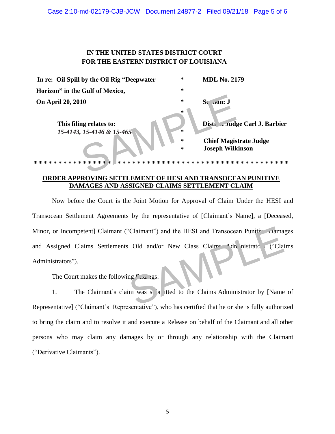#### Case 2:10-md-02179-CJB-JCW Document 24877-2 Filed 09/21/18 Page 5 of 6

## **IN THE UNITED STATES DISTRICT COURT FOR THE EASTERN DISTRICT OF LOUISIANA**

| In re: Oil Spill by the Oil Rig "Deepwater"           | ∗      | <b>MDL No. 2179</b>                                      |
|-------------------------------------------------------|--------|----------------------------------------------------------|
| Horizon" in the Gulf of Mexico,                       | ∗      |                                                          |
| <b>On April 20, 2010</b>                              | ∗<br>∗ | Sc<br>$\mathbf{u}$ on: J                                 |
| This filing relates to:<br>15-4143, 15-4146 & 15-465. | ∗      | Disti Country Carl J. Barbier                            |
|                                                       | ∗<br>∗ | <b>Chief Magistrate Judge</b><br><b>Joseph Wilkinson</b> |
| $\ast$<br>∗<br>$\ast$<br>∗<br>*.<br>∗<br>÷<br>∗       | ∗<br>∗ | * * * * * * * * * * * * * * * *<br>∗<br>∗<br>∗           |

### **ORDER APPROVING SETTLEMENT OF HESI AND TRANSOCEAN PUNITIVE DAMAGES AND ASSIGNED CLAIMS SETTLEMENT CLAIM**

Now before the Court is the Joint Motion for Approval of Claim Under the HESI and Transocean Settlement Agreements by the representative of [Claimant's Name], a [Deceased, Minor, or Incompetent] Claimant ("Claimant") and the HESI and Transocean Punitive Damages and Assigned Claims Settlements Old and/or New Class Claims Administrators ("Claims") Administrators"). Claimant") and the HESI and Transocean Punities Damag<br>
Old and/or New Class Claim<br>
The inistrato ("Claim") ("Claim")<br>
Ing and 198:<br>
Im was so on itted to the Claims Administrator by [Name

The Court makes the following  $\int$   $\cos$ :

1. The Claimant's claim was so be itted to the Claims Administrator by [Name of Representative] ("Claimant's Representative"), who has certified that he or she is fully authorized to bring the claim and to resolve it and execute a Release on behalf of the Claimant and all other persons who may claim any damages by or through any relationship with the Claimant ("Derivative Claimants").